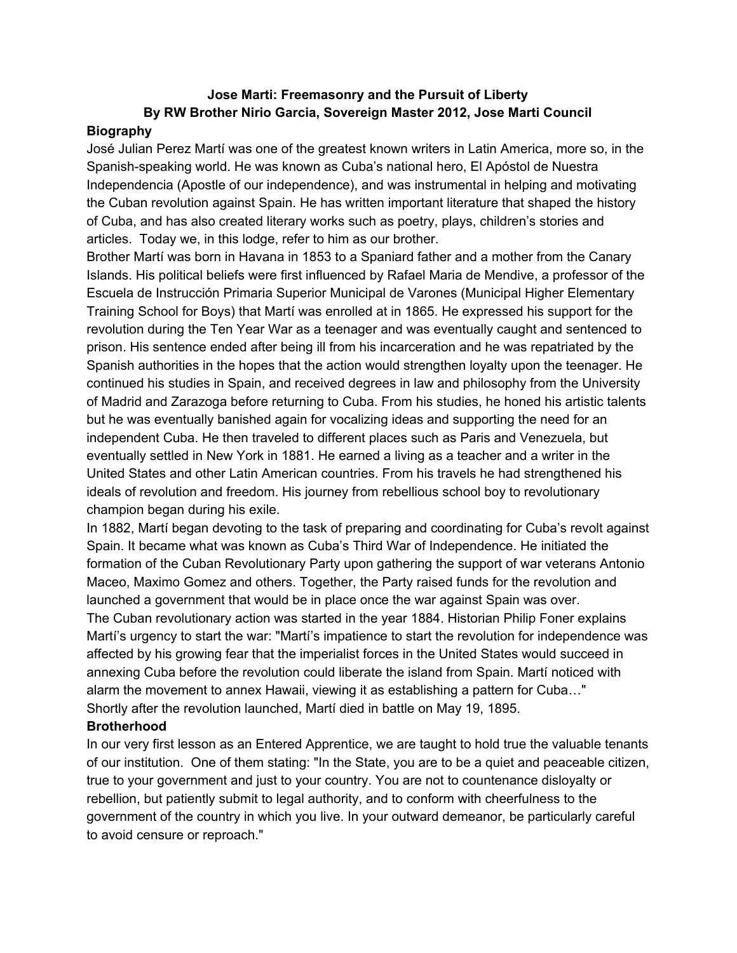# **Jose Marti: Freemasonry and the Pursuit of Liberty By RW Brother Nirio Garcia, Sovereign Master 2012, Jose Marti Council**

## **Biography**

José Julian Perez Martí was one of the greatest known writers in Latin America, more so, in the Spanish-speaking world. He was known as Cuba's national hero, El Apóstol de Nuestra Independencia (Apostle of our independence), and was instrumental in helping and motivating the Cuban revolution against Spain. He has written important literature that shaped the history of Cuba, and has also created literary works such as poetry, plays, children's stories and articles. Today we, in this lodge, refer to him as our brother.

Brother Martí was born in Havana in 1853 to a Spaniard father and a mother from the Canary Islands. His political beliefs were first influenced by Rafael Maria de Mendive, a professor of the Escuela de Instrucción Primaria Superior Municipal de Varones (Municipal Higher Elementary Training School for Boys) that Martí was enrolled at in 1865. He expressed his support for the revolution during the Ten Year War as a teenager and was eventually caught and sentenced to prison. His sentence ended after being ill from his incarceration and he was repatriated by the Spanish authorities in the hopes that the action would strengthen loyalty upon the teenager. He continued his studies in Spain, and received degrees in law and philosophy from the University of Madrid and Zarazoga before returning to Cuba. From his studies, he honed his artistic talents but he was eventually banished again for vocalizing ideas and supporting the need for an independent Cuba. He then traveled to different places such as Paris and Venezuela, but eventually settled in New York in 1881. He earned a living as a teacher and a writer in the United States and other Latin American countries. From his travels he had strengthened his ideals of revolution and freedom. His journey from rebellious school boy to revolutionary champion began during his exile.

In 1882, Martí began devoting to the task of preparing and coordinating for Cuba's revolt against Spain. It became what was known as Cuba's Third War of Independence. He initiated the formation of the Cuban Revolutionary Party upon gathering the support of war veterans Antonio Maceo, Maximo Gomez and others. Together, the Party raised funds for the revolution and launched a government that would be in place once the war against Spain was over. The Cuban revolutionary action was started in the year 1884. Historian Philip Foner explains Martí's urgency to start the war: "Martí's impatience to start the revolution for independence was affected by his growing fear that the imperialist forces in the United States would succeed in annexing Cuba before the revolution could liberate the island from Spain. Martí noticed with alarm the movement to annex Hawaii, viewing it as establishing a pattern for Cuba…" Shortly after the revolution launched, Martí died in battle on May 19, 1895.

## **Brotherhood**

In our very first lesson as an Entered Apprentice, we are taught to hold true the valuable tenants of our institution. One of them stating: "In the State, you are to be a quiet and peaceable citizen, true to your government and just to your country. You are not to countenance disloyalty or rebellion, but patiently submit to legal authority, and to conform with cheerfulness to the government of the country in which you live. In your outward demeanor, be particularly careful to avoid censure or reproach."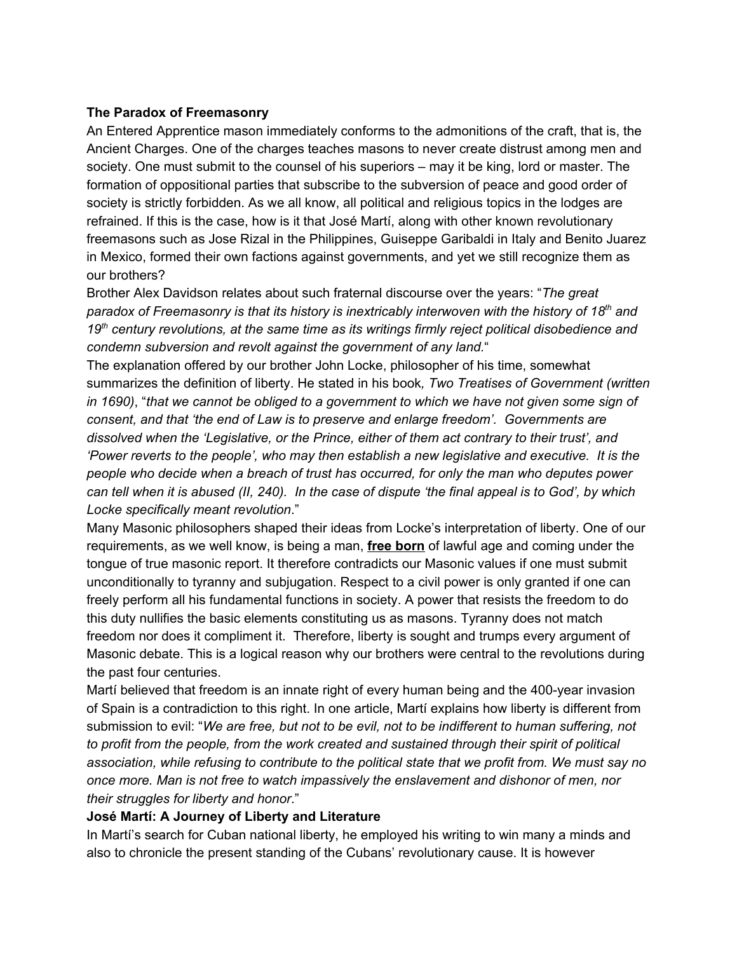## **The Paradox of Freemasonry**

An Entered Apprentice mason immediately conforms to the admonitions of the craft, that is, the Ancient Charges. One of the charges teaches masons to never create distrust among men and society. One must submit to the counsel of his superiors – may it be king, lord or master. The formation of oppositional parties that subscribe to the subversion of peace and good order of society is strictly forbidden. As we all know, all political and religious topics in the lodges are refrained. If this is the case, how is it that José Martí, along with other known revolutionary freemasons such as Jose Rizal in the Philippines, Guiseppe Garibaldi in Italy and Benito Juarez in Mexico, formed their own factions against governments, and yet we still recognize them as our brothers?

Brother Alex Davidson relates about such fraternal discourse over the years: "*The great paradox of Freemasonry is that its history is inextricably interwoven with the history of 18 th and 19 th century revolutions, at the same time as its writings firmly reject political disobedience and condemn subversion and revolt against the government of any land.*"

The explanation offered by our brother John Locke, philosopher of his time, somewhat summarizes the definition of liberty. He stated in his book*, Two Treatises of Government (written* in 1690), "that we cannot be obliged to a government to which we have not given some sign of *consent, and that 'the end of Law is to preserve and enlarge freedom'. Governments are dissolved when the 'Legislative, or the Prince, either of them act contrary to their trust', and 'Power reverts to the people', who may then establish a new legislative and executive. It is the people who decide when a breach of trust has occurred, for only the man who deputes power* can tell when it is abused (II, 240). In the case of dispute 'the final appeal is to God', by which *Locke specifically meant revolution*."

Many Masonic philosophers shaped their ideas from Locke's interpretation of liberty. One of our requirements, as we well know, is being a man, **free born** of lawful age and coming under the tongue of true masonic report. It therefore contradicts our Masonic values if one must submit unconditionally to tyranny and subjugation. Respect to a civil power is only granted if one can freely perform all his fundamental functions in society. A power that resists the freedom to do this duty nullifies the basic elements constituting us as masons. Tyranny does not match freedom nor does it compliment it. Therefore, liberty is sought and trumps every argument of Masonic debate. This is a logical reason why our brothers were central to the revolutions during the past four centuries.

Martí believed that freedom is an innate right of every human being and the 400-year invasion of Spain is a contradiction to this right. In one article, Martí explains how liberty is different from submission to evil: "*We are free, but not to be evil, not to be indifferent to human suffering, not to profit from the people, from the work created and sustained through their spirit of political association, while refusing to contribute to the political state that we profit from. We must say no once more. Man is not free to watch impassively the enslavement and dishonor of men, nor their struggles for liberty and honor*."

## **José Martí: A Journey of Liberty and Literature**

In Martí's search for Cuban national liberty, he employed his writing to win many a minds and also to chronicle the present standing of the Cubans' revolutionary cause. It is however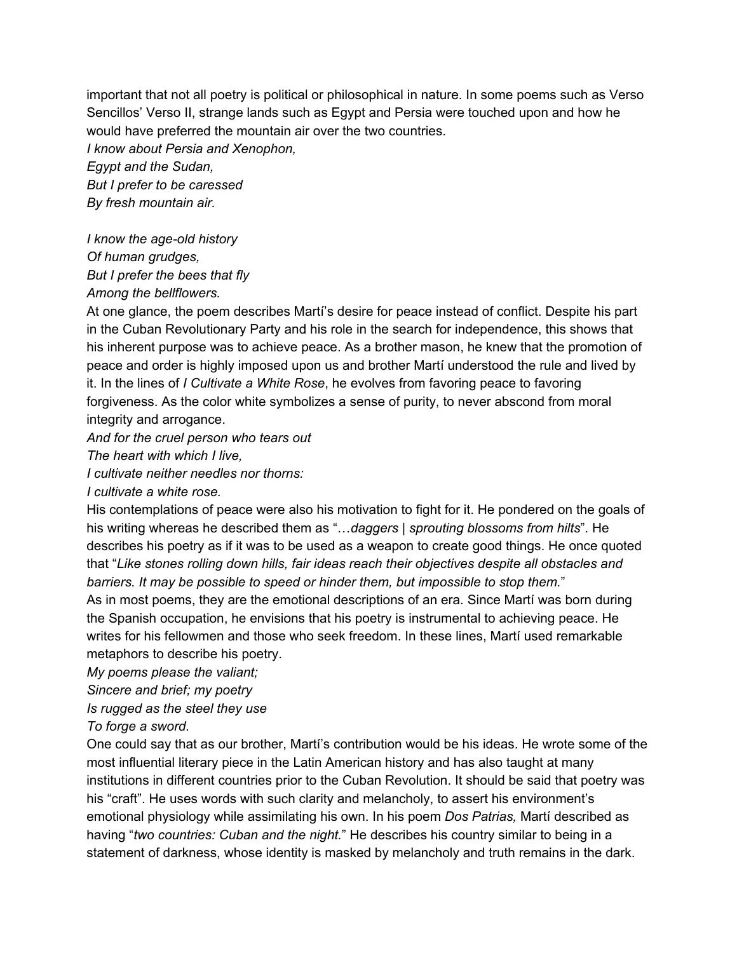important that not all poetry is political or philosophical in nature. In some poems such as Verso Sencillos' Verso II, strange lands such as Egypt and Persia were touched upon and how he would have preferred the mountain air over the two countries.

*I know about Persia and Xenophon,*

*Egypt and the Sudan, But I prefer to be caressed By fresh mountain air.*

*I know the age-old history Of human grudges, But I prefer the bees that fly Among the bellflowers.*

At one glance, the poem describes Martí's desire for peace instead of conflict. Despite his part in the Cuban Revolutionary Party and his role in the search for independence, this shows that his inherent purpose was to achieve peace. As a brother mason, he knew that the promotion of peace and order is highly imposed upon us and brother Martí understood the rule and lived by it. In the lines of *I Cultivate a White Rose*, he evolves from favoring peace to favoring forgiveness. As the color white symbolizes a sense of purity, to never abscond from moral integrity and arrogance.

*And for the cruel person who tears out*

*The heart with which I live,*

*I cultivate neither needles nor thorns:*

*I cultivate a white rose.*

His contemplations of peace were also his motivation to fight for it. He pondered on the goals of his writing whereas he described them as "…*daggers | sprouting blossoms from hilts*". He describes his poetry as if it was to be used as a weapon to create good things. He once quoted that "*Like stones rolling down hills, fair ideas reach their objectives despite all obstacles and barriers. It may be possible to speed or hinder them, but impossible to stop them.*" As in most poems, they are the emotional descriptions of an era. Since Martí was born during the Spanish occupation, he envisions that his poetry is instrumental to achieving peace. He writes for his fellowmen and those who seek freedom. In these lines, Martí used remarkable metaphors to describe his poetry.

*My poems please the valiant;*

*Sincere and brief; my poetry*

*Is rugged as the steel they use*

*To forge a sword.*

One could say that as our brother, Martí's contribution would be his ideas. He wrote some of the most influential literary piece in the Latin American history and has also taught at many institutions in different countries prior to the Cuban Revolution. It should be said that poetry was his "craft". He uses words with such clarity and melancholy, to assert his environment's emotional physiology while assimilating his own. In his poem *Dos Patrias,* Martí described as having "*two countries: Cuban and the night.*" He describes his country similar to being in a statement of darkness, whose identity is masked by melancholy and truth remains in the dark.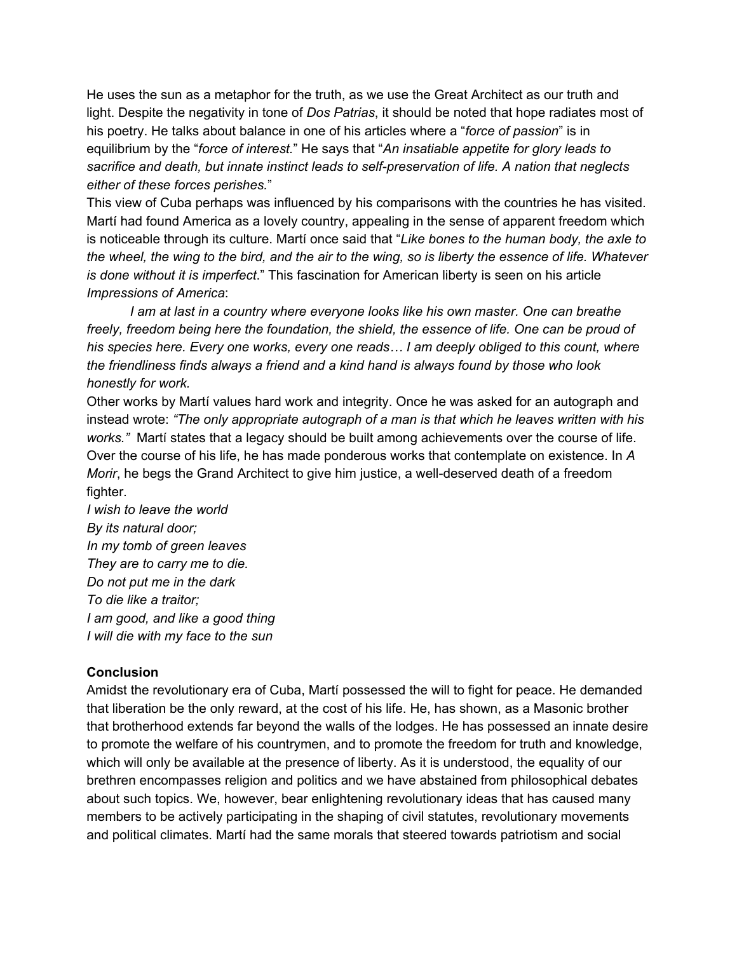He uses the sun as a metaphor for the truth, as we use the Great Architect as our truth and light. Despite the negativity in tone of *Dos Patrias*, it should be noted that hope radiates most of his poetry. He talks about balance in one of his articles where a "*force of passion*" is in equilibrium by the "*force of interest.*" He says that "*An insatiable appetite for glory leads to sacrifice and death, but innate instinct leads to self-preservation of life. A nation that neglects either of these forces perishes.*"

This view of Cuba perhaps was influenced by his comparisons with the countries he has visited. Martí had found America as a lovely country, appealing in the sense of apparent freedom which is noticeable through its culture. Martí once said that "*Like bones to the human body, the axle to* the wheel, the wing to the bird, and the air to the wing, so is liberty the essence of life. Whatever *is done without it is imperfect*." This fascination for American liberty is seen on his article *Impressions of America*:

*I am at last in a country where everyone looks like his own master. One can breathe freely, freedom being here the foundation, the shield, the essence of life. One can be proud of his species here. Every one works, every one reads… I am deeply obliged to this count, where the friendliness finds always a friend and a kind hand is always found by those who look honestly for work.*

Other works by Martí values hard work and integrity. Once he was asked for an autograph and instead wrote: *"The only appropriate autograph of a man is that which he leaves written with his works."* Martí states that a legacy should be built among achievements over the course of life. Over the course of his life, he has made ponderous works that contemplate on existence. In *A Morir*, he begs the Grand Architect to give him justice, a well-deserved death of a freedom fighter.

*I wish to leave the world By its natural door; In my tomb of green leaves They are to carry me to die. Do not put me in the dark To die like a traitor; I am good, and like a good thing I will die with my face to the sun*

## **Conclusion**

Amidst the revolutionary era of Cuba, Martí possessed the will to fight for peace. He demanded that liberation be the only reward, at the cost of his life. He, has shown, as a Masonic brother that brotherhood extends far beyond the walls of the lodges. He has possessed an innate desire to promote the welfare of his countrymen, and to promote the freedom for truth and knowledge, which will only be available at the presence of liberty. As it is understood, the equality of our brethren encompasses religion and politics and we have abstained from philosophical debates about such topics. We, however, bear enlightening revolutionary ideas that has caused many members to be actively participating in the shaping of civil statutes, revolutionary movements and political climates. Martí had the same morals that steered towards patriotism and social